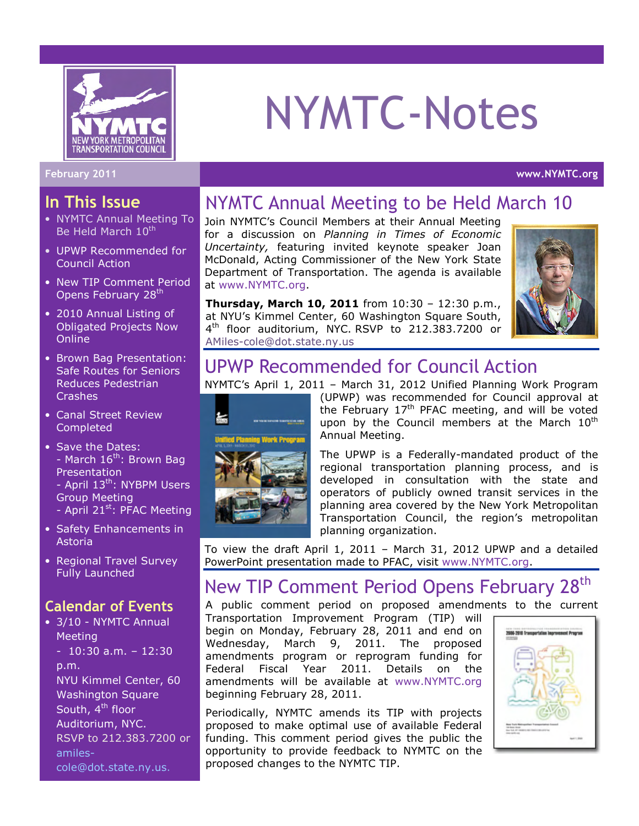

#### In This Issue

- NYMTC Annual Meeting To Be Held March 10<sup>th</sup>
- UPWP Recommended for Council Action
- New TIP Comment Period Opens February 28<sup>th</sup>
- 2010 Annual Listing of Obligated Projects Now **Online**
- Brown Bag Presentation: Safe Routes for Seniors Reduces Pedestrian **Crashes**
- Canal Street Review Completed
- Save the Dates: - March 16<sup>th</sup>: Brown Bag **Presentation** - April 13<sup>th</sup>: NYBPM Users Group Meeting
	- April  $21^{st}$ : PFAC Meeting
- Safety Enhancements in Astoria
- Regional Travel Survey Fully Launched

#### Calendar of Events

• 3/10 - NYMTC Annual Meeting  $-10:30$  a.m.  $-12:30$ p.m.

NYU Kimmel Center, 60 Washington Square South, 4<sup>th</sup> floor Auditorium, NYC. RSVP to 212.383.7200 or amiles-

cole@dot.state.ny.us.

# NYMTC-Notes

#### February 2011 www.NYMTC.org

## NYMTC Annual Meeting to be Held March 10

Join NYMTC's Council Members at their Annual Meeting for a discussion on Planning in Times of Economic Uncertainty, featuring invited keynote speaker Joan McDonald, Acting Commissioner of the New York State Department of Transportation. The agenda is available at www.NYMTC.org.

Thursday, March 10, 2011 from 10:30 – 12:30 p.m., at NYU's Kimmel Center, 60 Washington Square South, 4 th floor auditorium, NYC. RSVP to 212.383.7200 or AMiles-cole@dot.state.ny.us



## UPWP Recommended for Council Action

NYMTC's April 1, 2011 – March 31, 2012 Unified Planning Work Program



(UPWP) was recommended for Council approval at the February  $17<sup>th</sup>$  PFAC meeting, and will be voted upon by the Council members at the March  $10<sup>th</sup>$ Annual Meeting.

The UPWP is a Federally-mandated product of the regional transportation planning process, and is developed in consultation with the state and operators of publicly owned transit services in the planning area covered by the New York Metropolitan Transportation Council, the region's metropolitan planning organization.

To view the draft April 1, 2011 – March 31, 2012 UPWP and a detailed PowerPoint presentation made to PFAC, visit www.NYMTC.org.

## New TIP Comment Period Opens February 28<sup>th</sup>

A public comment period on proposed amendments to the current

Transportation Improvement Program (TIP) will begin on Monday, February 28, 2011 and end on Wednesday, March 9, 2011. The proposed amendments program or reprogram funding for Federal Fiscal Year 2011. Details on the amendments will be available at www.NYMTC.org beginning February 28, 2011.

Periodically, NYMTC amends its TIP with projects proposed to make optimal use of available Federal funding. This comment period gives the public the opportunity to provide feedback to NYMTC on the proposed changes to the NYMTC TIP.

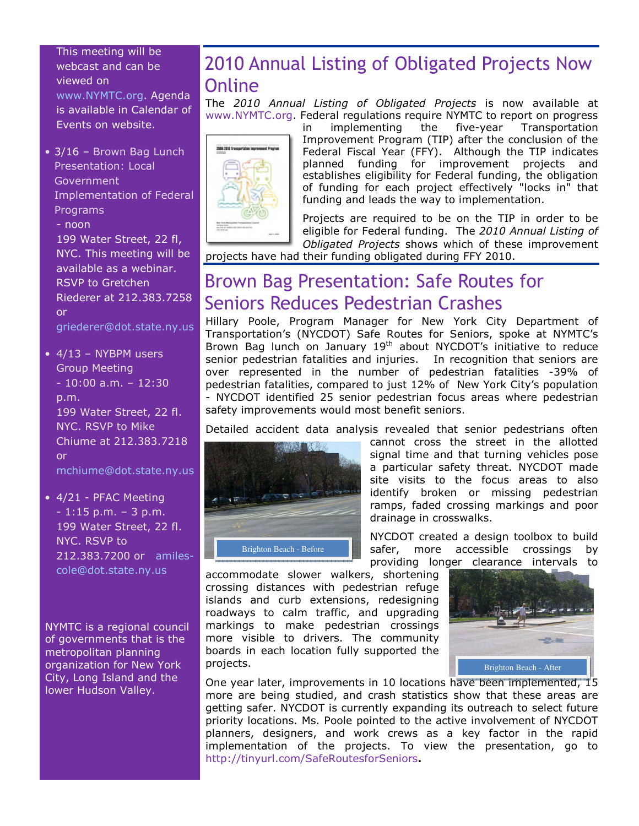This meeting will be webcast and can be viewed on www.NYMTC.org. Agenda is available in Calendar of Events on website.

• 3/16 - Brown Bag Lunch Presentation: Local **Government** Implementation of Federal Programs - noon 199 Water Street, 22 fl, NYC. This meeting will be available as a webinar. RSVP to Gretchen Riederer at 212.383.7258

or griederer@dot.state.ny.us

- $\bullet$  4/13 NYBPM users Group Meeting  $-10:00$  a.m.  $-12:30$ p.m. 199 Water Street, 22 fl. NYC. RSVP to Mike Chiume at 212.383.7218 or mchiume@dot.state.ny.us
- 4/21 PFAC Meeting - 1:15 p.m. – 3 p.m. 199 Water Street, 22 fl. NYC. RSVP to 212.383.7200 or amilescole@dot.state.ny.us

NYMTC is a regional council of governments that is the metropolitan planning organization for New York City, Long Island and the lower Hudson Valley.

## 2010 Annual Listing of Obligated Projects Now **Online**

The 2010 Annual Listing of Obligated Projects is now available at www.NYMTC.org. Federal regulations require NYMTC to report on progress



in implementing the five-year Transportation Improvement Program (TIP) after the conclusion of the Federal Fiscal Year (FFY). Although the TIP indicates planned funding for improvement projects and establishes eligibility for Federal funding, the obligation of funding for each project effectively "locks in" that funding and leads the way to implementation.

Projects are required to be on the TIP in order to be eligible for Federal funding. The 2010 Annual Listing of Obligated Projects shows which of these improvement

projects have had their funding obligated during FFY 2010.

## Brown Bag Presentation: Safe Routes for Seniors Reduces Pedestrian Crashes

Hillary Poole, Program Manager for New York City Department of Transportation's (NYCDOT) Safe Routes for Seniors, spoke at NYMTC's Brown Bag lunch on January 19<sup>th</sup> about NYCDOT's initiative to reduce senior pedestrian fatalities and injuries. In recognition that seniors are over represented in the number of pedestrian fatalities -39% of pedestrian fatalities, compared to just 12% of New York City's population - NYCDOT identified 25 senior pedestrian focus areas where pedestrian safety improvements would most benefit seniors.

Detailed accident data analysis revealed that senior pedestrians often



cannot cross the street in the allotted signal time and that turning vehicles pose a particular safety threat. NYCDOT made site visits to the focus areas to also identify broken or missing pedestrian ramps, faded crossing markings and poor drainage in crosswalks.

NYCDOT created a design toolbox to build safer, more accessible crossings by providing longer clearance intervals to

accommodate slower walkers, shortening crossing distances with pedestrian refuge islands and curb extensions, redesigning roadways to calm traffic, and upgrading markings to make pedestrian crossings more visible to drivers. The community boards in each location fully supported the projects.



One year later, improvements in 10 locations have been implemented, 15 more are being studied, and crash statistics show that these areas are getting safer. NYCDOT is currently expanding its outreach to select future priority locations. Ms. Poole pointed to the active involvement of NYCDOT planners, designers, and work crews as a key factor in the rapid implementation of the projects. To view the presentation, go to http://tinyurl.com/SafeRoutesforSeniors.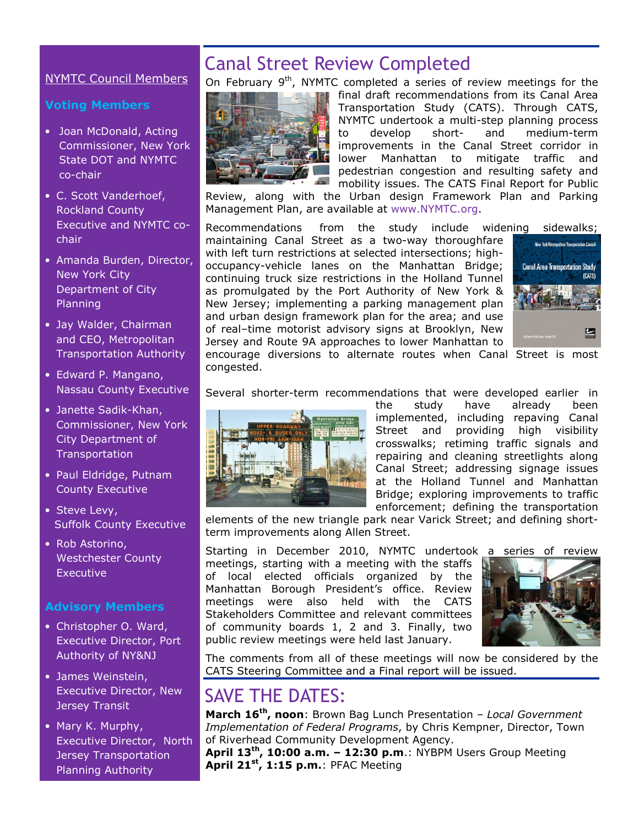#### NYMTC Council Members

#### Voting Members

- Joan McDonald, Acting Commissioner, New York State DOT and NYMTC co-chair
- C. Scott Vanderhoef, Rockland County Executive and NYMTC cochair
- Amanda Burden, Director, New York City Department of City Planning
- Jay Walder, Chairman and CEO, Metropolitan Transportation Authority
- Edward P. Mangano, Nassau County Executive
- Janette Sadik-Khan, Commissioner, New York City Department of **Transportation**
- Paul Eldridge, Putnam County Executive
- Steve Levy, Suffolk County Executive
- Rob Astorino, Westchester County **Executive**

#### Advisory Members

- Christopher O. Ward, Executive Director, Port Authority of NY&NJ
- James Weinstein, Executive Director, New Jersey Transit
- Mary K. Murphy, Executive Director, North Jersey Transportation Planning Authority

## Canal Street Review Completed

On February 9<sup>th</sup>, NYMTC completed a series of review meetings for the



final draft recommendations from its Canal Area Transportation Study (CATS). Through CATS, NYMTC undertook a multi-step planning process to develop short- and medium-term improvements in the Canal Street corridor in lower Manhattan to mitigate traffic and pedestrian congestion and resulting safety and mobility issues. The CATS Final Report for Public

Review, along with the Urban design Framework Plan and Parking Management Plan, are available at www.NYMTC.org.

Recommendations from the study include widening sidewalks;

maintaining Canal Street as a two-way thoroughfare with left turn restrictions at selected intersections; highoccupancy-vehicle lanes on the Manhattan Bridge; continuing truck size restrictions in the Holland Tunnel as promulgated by the Port Authority of New York & New Jersey; implementing a parking management plan and urban design framework plan for the area; and use of real–time motorist advisory signs at Brooklyn, New Jersey and Route 9A approaches to lower Manhattan to



encourage diversions to alternate routes when Canal Street is most congested.

Several shorter-term recommendations that were developed earlier in



the study have already been implemented, including repaving Canal Street and providing high visibility crosswalks; retiming traffic signals and repairing and cleaning streetlights along Canal Street; addressing signage issues at the Holland Tunnel and Manhattan Bridge; exploring improvements to traffic enforcement; defining the transportation

elements of the new triangle park near Varick Street; and defining shortterm improvements along Allen Street.

Starting in December 2010, NYMTC undertook a series of review meetings, starting with a meeting with the staffs of local elected officials organized by the Manhattan Borough President's office. Review meetings were also held with the CATS Stakeholders Committee and relevant committees of community boards 1, 2 and 3. Finally, two public review meetings were held last January.



The comments from all of these meetings will now be considered by the CATS Steering Committee and a Final report will be issued.

## SAVE THE DATES:

March 16<sup>th</sup>, noon: Brown Bag Lunch Presentation - Local Government Implementation of Federal Programs, by Chris Kempner, Director, Town of Riverhead Community Development Agency.

April  $13<sup>th</sup>$ , 10:00 a.m. - 12:30 p.m.: NYBPM Users Group Meeting April 21<sup>st</sup>, 1:15 p.m.: PFAC Meeting